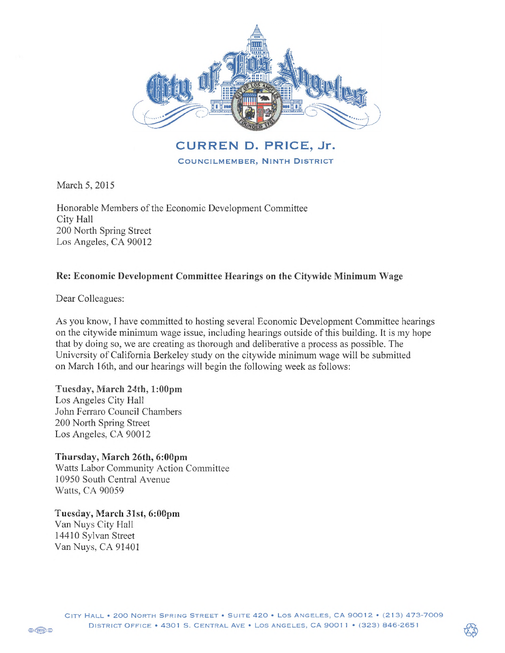

**CURREN D. PRICE, Jr. COUNCILMEMBER, NINTH DISTRICT** 

March 5, 2015

Honorable Members of the Economic Development Committee City Hall 200 North Spring Street Los Angeles, CA 90012

## Re: Economic Development Committee Hearings on the Citywide Minimum Wage

Dear Colleagues:

As you know, I have committed to hosting several Economic Development Committee hearings on the citywide minimum wage issue, including hearings outside of this building. It is my hope that by doing so, we are creating as thorough and deliberative a process as possible. The University of California Berkeley study on the citywide minimum wage will be submitted on March 16th, and our hearings will begin the following week as follows:

Tuesday, March 24th, 1:00pm Los Angeles City Hall John Ferraro Council Chambers 200 North Spring Street Los Angeles, CA 90012

Thursday, March 26th, 6:00pm Watts Labor Community Action Committee 10950 South Central Avenue Watts, CA 90059

Tuesday, March 31st, 6:00pm Van Nuys City Hall 14410 Sylvan Street Van Nuys, CA 91401